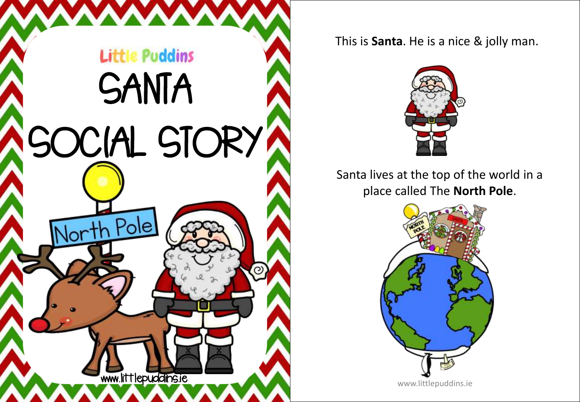

## This is **Santa**. He is a nice & jolly man.



Santa lives at the top of the world in a place called The **North Pole**.

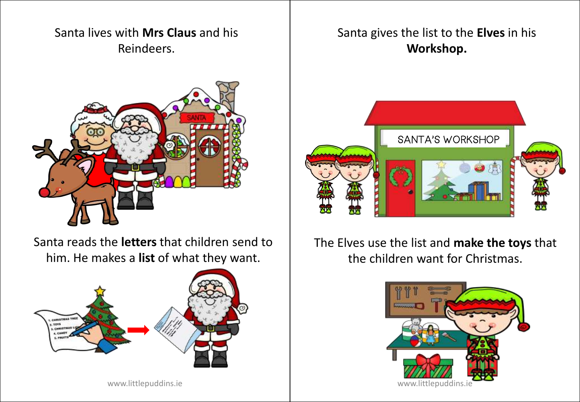## Santa lives with **Mrs Claus** and his Reindeers.



Santa reads the **letters** that children send to him. He makes a **list** of what they want.



## Santa gives the list to the **Elves** in his **Workshop.**



The Elves use the list and **make the toys** that the children want for Christmas.